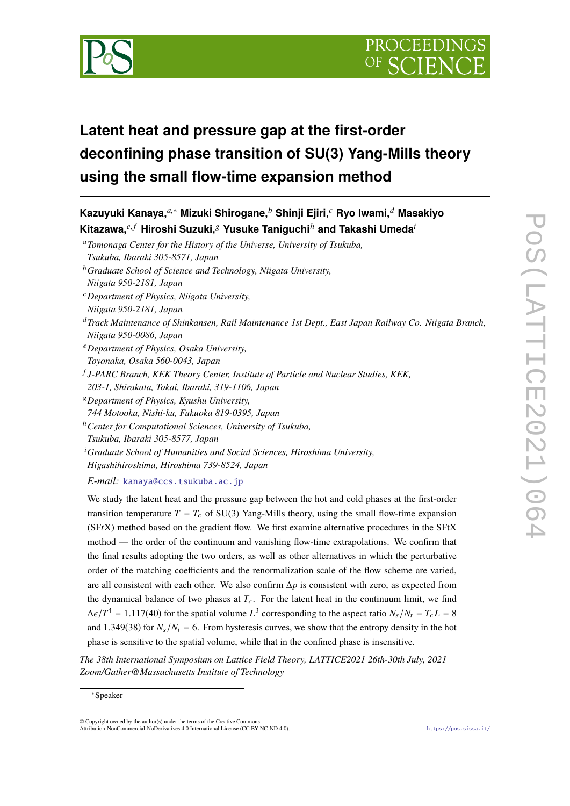



# **Latent heat and pressure gap at the first-order deconfining phase transition of SU(3) Yang-Mills theory using the small flow-time expansion method**

**Kazuyuki Kanaya,***a*,<sup>∗</sup> **Mizuki Shirogane,***<sup>b</sup>* **Shinji Ejiri,***<sup>c</sup>* **Ryo Iwami,***<sup>d</sup>* **Masakiyo**  $\mathsf{K}$ itazawa, $e^{i.f}$  Hiroshi Suzuki, $g$  Yusuke Taniguchi<sup>h</sup> and Takashi Umeda<sup>*i*</sup> <sup>a</sup>*Tomonaga Center for the History of the Universe, University of Tsukuba, Tsukuba, Ibaraki 305-8571, Japan* <sup>b</sup>*Graduate School of Science and Technology, Niigata University, Niigata 950-2181, Japan* <sup>c</sup>*Department of Physics, Niigata University, Niigata 950-2181, Japan* <sup>d</sup>*Track Maintenance of Shinkansen, Rail Maintenance 1st Dept., East Japan Railway Co. Niigata Branch, Niigata 950-0086, Japan* <sup>e</sup>*Department of Physics, Osaka University, Toyonaka, Osaka 560-0043, Japan* f *J-PARC Branch, KEK Theory Center, Institute of Particle and Nuclear Studies, KEK, 203-1, Shirakata, Tokai, Ibaraki, 319-1106, Japan* <sup>g</sup>*Department of Physics, Kyushu University, 744 Motooka, Nishi-ku, Fukuoka 819-0395, Japan* <sup>h</sup>*Center for Computational Sciences, University of Tsukuba, Tsukuba, Ibaraki 305-8577, Japan* <sup>i</sup>*Graduate School of Humanities and Social Sciences, Hiroshima University, Higashihiroshima, Hiroshima 739-8524, Japan*

*E-mail:* [kanaya@ccs.tsukuba.ac.jp](mailto:kanaya@ccs.tsukuba.ac.jp)

We study the latent heat and the pressure gap between the hot and cold phases at the first-order transition temperature  $T = T_c$  of SU(3) Yang-Mills theory, using the small flow-time expansion (SF*t*X) method based on the gradient flow. We first examine alternative procedures in the SFtX method — the order of the continuum and vanishing flow-time extrapolations. We confirm that the final results adopting the two orders, as well as other alternatives in which the perturbative order of the matching coefficients and the renormalization scale of the flow scheme are varied, are all consistent with each other. We also confirm ∆*p* is consistent with zero, as expected from the dynamical balance of two phases at  $T_c$ . For the latent heat in the continuum limit, we find  $\Delta \epsilon / T^4 = 1.117(40)$  for the spatial volume  $L^3$  corresponding to the aspect ratio  $N_s / N_t = T_c L = 8$ and 1.349(38) for  $N_s/N_t = 6$ . From hysteresis curves, we show that the entropy density in the hot phase is sensitive to the spatial volume, while that in the confined phase is insensitive.

*The 38th International Symposium on Lattice Field Theory, LATTICE2021 26th-30th July, 2021 Zoom/Gather@Massachusetts Institute of Technology*

© Copyright owned by the author(s) under the terms of the Creative Commons Attribution-NonCommercial-NoDerivatives 4.0 International License (CC BY-NC-ND 4.0). <https://pos.sissa.it/>

<sup>∗</sup>Speaker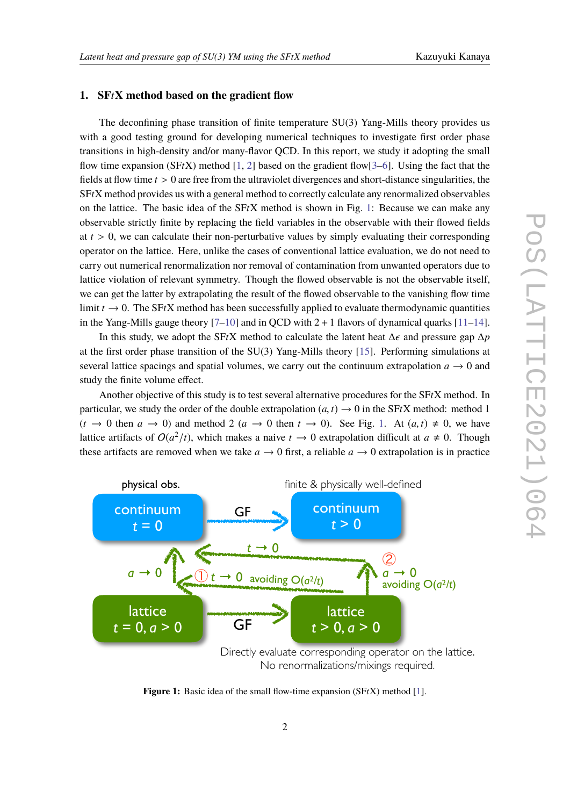### **1. SF***t***X method based on the gradient flow**

The deconfining phase transition of finite temperature SU(3) Yang-Mills theory provides us with a good testing ground for developing numerical techniques to investigate first order phase transitions in high-density and/or many-flavor QCD. In this report, we study it adopting the small flow time expansion  $(SFtX)$  method [\[1,](#page-7-0) [2\]](#page-7-1) based on the gradient flow[\[3–](#page-7-2)[6\]](#page-7-3). Using the fact that the fields at flow time *<sup>t</sup>* > <sup>0</sup> are free from the ultraviolet divergences and short-distance singularities, the SF*t*X method provides us with a general method to correctly calculate any renormalized observables on the lattice. The basic idea of the SF*t*X method is shown in Fig. [1:](#page-1-0) Because we can make any observable strictly finite by replacing the field variables in the observable with their flowed fields at  $t > 0$ , we can calculate their non-perturbative values by simply evaluating their corresponding operator on the lattice. Here, unlike the cases of conventional lattice evaluation, we do not need to carry out numerical renormalization nor removal of contamination from unwanted operators due to lattice violation of relevant symmetry. Though the flowed observable is not the observable itself, we can get the latter by extrapolating the result of the flowed observable to the vanishing flow time limit  $t \to 0$ . The SFtX method has been successfully applied to evaluate thermodynamic quantities in the Yang-Mills gauge theory  $[7-10]$  $[7-10]$  and in QCD with  $2 + 1$  flavors of dynamical quarks  $[11-14]$  $[11-14]$ .

In this study, we adopt the SFtX method to calculate the latent heat  $\Delta \epsilon$  and pressure gap  $\Delta p$ at the first order phase transition of the SU(3) Yang-Mills theory [\[15\]](#page-8-3). Performing simulations at several lattice spacings and spatial volumes, we carry out the continuum extrapolation  $a \rightarrow 0$  and study the finite volume effect.

Another objective of this study is to test several alternative procedures for the SF*t*X method. In particular, we study the order of the double extrapolation  $(a, t) \rightarrow 0$  in the SFtX method: method 1  $(t \to 0$  then  $a \to 0$ ) and method 2  $(a \to 0$  then  $t \to 0$ ). See Fig. [1.](#page-1-0) At  $(a, t) \neq 0$ , we have lattice artifacts of  $O(a^2/t)$ , which makes a naive  $t \to 0$  extrapolation difficult at  $a \neq 0$ . Though these artifacts are removed when we take  $a \rightarrow 0$  first, a reliable  $a \rightarrow 0$  extrapolation is in practice

<span id="page-1-0"></span>

**Figure 1:** Basic idea of the small flow-time expansion (SF*t*X) method [\[1\]](#page-7-0).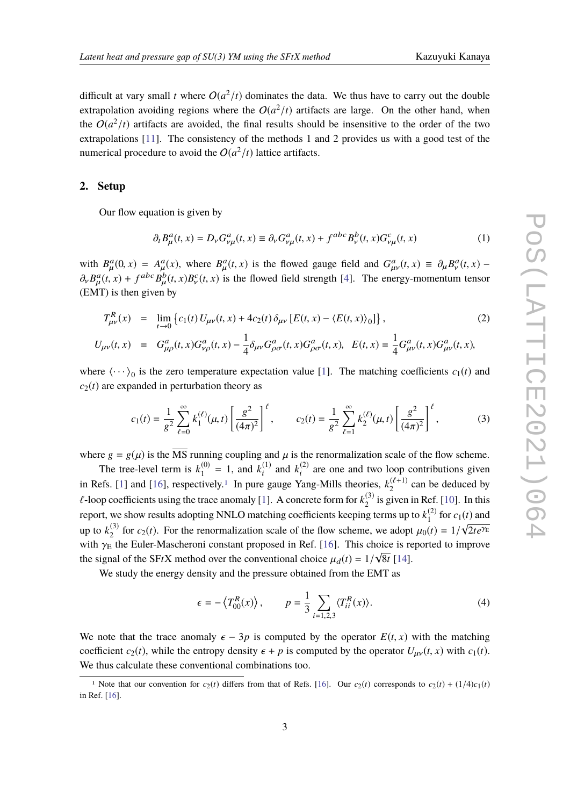difficult at vary small *t* where  $O(a^2/t)$  dominates the data. We thus have to carry out the double extrapolation avoiding regions where the  $O(a^2/t)$  artifacts are large. On the other hand, when the  $O(a^2/t)$  artifacts are avoided, the final results should be insensitive to the order of the two extrapolations [\[11\]](#page-8-1). The consistency of the methods 1 and 2 provides us with a good test of the numerical procedure to avoid the  $O(a^2/t)$  lattice artifacts.

#### **2. Setup**

Our flow equation is given by

$$
\partial_t B^a_\mu(t, x) = D_\nu G^a_{\nu\mu}(t, x) \equiv \partial_\nu G^a_{\nu\mu}(t, x) + f^{abc} B^b_\nu(t, x) G^c_{\nu\mu}(t, x)
$$
\n(1)

with  $B_{\mu}^{a}(0, x) = A_{\mu}^{a}(x)$ , where  $B_{\mu}^{a}(t, x)$  is the flowed gauge field and  $G_{\mu\nu}^{a}(t, x) \equiv \partial_{\mu}B_{\nu}^{a}(t, x) -$ <br>a  $B_{\mu}(t, x) + B_{\mu}(t, x)B_{\nu}(t, x)$  is the flowed field strength [4]. The energy momentum tensor  $\partial_{\nu} B_{\mu}^{a}(t, x) + f^{abc} B_{\mu}^{b}(t, x) B_{\nu}^{c}(t, x)$  is the flowed field strength [\[4\]](#page-7-5). The energy-momentum tensor  $(EMT)$  is then given by

$$
T_{\mu\nu}^{R}(x) = \lim_{t \to 0} \{c_{1}(t) U_{\mu\nu}(t, x) + 4c_{2}(t) \delta_{\mu\nu} [E(t, x) - \langle E(t, x) \rangle_{0}]\},
$$
\n
$$
U_{\mu\nu}(t, x) = G_{\mu\rho}^{a}(t, x) G_{\nu\rho}^{a}(t, x) - \frac{1}{4} \delta_{\mu\nu} G_{\rho\sigma}^{a}(t, x) G_{\rho\sigma}^{a}(t, x), \quad E(t, x) \equiv \frac{1}{4} G_{\mu\nu}^{a}(t, x) G_{\mu\nu}^{a}(t, x),
$$
\n(2)

where  $\langle \cdots \rangle_0$  is the zero temperature expectation value [\[1\]](#page-7-0). The matching coefficients  $c_1(t)$  and  $c_2(t)$  are expanded in perturbation theory as

$$
c_1(t) = \frac{1}{g^2} \sum_{\ell=0}^{\infty} k_1^{(\ell)}(\mu, t) \left[ \frac{g^2}{(4\pi)^2} \right]^{\ell}, \qquad c_2(t) = \frac{1}{g^2} \sum_{\ell=1}^{\infty} k_2^{(\ell)}(\mu, t) \left[ \frac{g^2}{(4\pi)^2} \right]^{\ell}, \tag{3}
$$

where  $g = g(\mu)$  is the  $\overline{\text{MS}}$  running coupling and  $\mu$  is the renormalization scale of the flow scheme.

The tree-level term is  $k_1^{(0)}$  $t_1^{(0)} = 1$ , and  $k_i^{(1)}$  $\binom{1}{i}$  and  $k_i^{(2)}$  $i^{(2)}$  are one and two loop contributions given in Refs. [\[1\]](#page-7-0) and [\[16\]](#page-8-4), respectively.<sup>[1](#page-2-0)</sup> In pure gauge Yang-Mills theories,  $k_2^{(\ell+1)}$  can be deduced by  $\ell$ -loop coefficients using the trace anomaly [\[1\]](#page-7-0). A concrete form for  $k_2^{(3)}$  $_{2}^{(5)}$  is given in Ref. [\[10\]](#page-8-0). In this report, we show results adopting NNLO matching coefficients keeping terms up to  $k_1^{(2)}$  $\int_{1}^{(2)}$  for  $c_1(t)$  and up to  $k_2^{(3)}$ <sup>(3)</sup> for  $c_2(t)$ . For the renormalization scale of the flow scheme, we adopt  $\mu_0(t) = 1/\sqrt{2te^{\gamma_E}}$ <br>the Fular Masshareni constant represed in Ref. [16]. This choice is reported to improve with  $\gamma_E$  the Euler-Mascheroni constant proposed in Ref. [\[16\]](#page-8-4). This choice is reported to improve<br>the signal of the SEtV mathed suggestion conventional sheips  $\mu$  (t) = 1/1/2+1141 the signal of the SF*tX* method over the conventional choice  $\mu_d(t) = 1/\sqrt{8}t$  [\[14\]](#page-8-2).

We study the energy density and the pressure obtained from the EMT as

$$
\epsilon = -\left\langle T_{00}^R(x) \right\rangle, \qquad p = \frac{1}{3} \sum_{i=1,2,3} \langle T_{ii}^R(x) \rangle. \tag{4}
$$

We note that the trace anomaly  $\epsilon - 3p$  is computed by the operator  $E(t, x)$  with the matching coefficient  $c_2(t)$ , while the entropy density  $\epsilon + p$  is computed by the operator  $U_{\mu\nu}(t, x)$  with  $c_1(t)$ . We thus calculate these conventional combinations too.

<span id="page-2-0"></span><sup>&</sup>lt;sup>1</sup> Note that our convention for  $c_2(t)$  differs from that of Refs. [\[16\]](#page-8-4). Our  $c_2(t)$  corresponds to  $c_2(t) + (1/4)c_1(t)$ in Ref. [\[16\]](#page-8-4).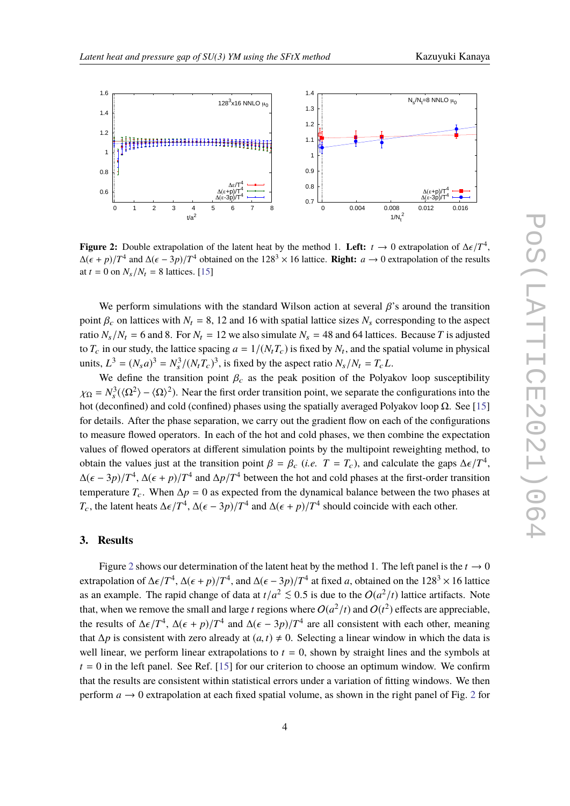<span id="page-3-0"></span>

**Figure 2:** Double extrapolation of the latent heat by the method 1. **Left:**  $t \to 0$  extrapolation of  $\Delta \epsilon / T^4$ ,  $\Delta (\epsilon + \eta) / T^4$  and  $\Delta (\epsilon - 3\eta) / T^4$  obtained on the 128<sup>3</sup> × 16 lattice. **Picht:**  $\alpha \to 0$  extrapolation of  $\Delta(\epsilon + p)/T^4$  and  $\Delta(\epsilon - 3p)/T^4$  obtained on the 128<sup>3</sup> × 16 lattice. **Right:** *a* → 0 extrapolation of the results at  $t = 0$  on  $N/N = 8$  lattice. 151 at  $t = 0$  on  $N_s/N_t = 8$  lattices. [\[15\]](#page-8-3)

We perform simulations with the standard Wilson action at several  $\beta$ 's around the transition point  $\beta_c$  on lattices with  $N_t = 8$ , 12 and 16 with spatial lattice sizes  $N_s$  corresponding to the aspect ratio  $N_s/N_t = 6$  and 8. For  $N_t = 12$  we also simulate  $N_s = 48$  and 64 lattices. Because *T* is adjusted to  $T_c$  in our study, the lattice spacing  $a = 1/(N_tT_c)$  is fixed by  $N_t$ , and the spatial volume in physical units,  $L^3 = (N_s a)^3 = N_s^3 / (N_t T_c)^3$ , is fixed by the aspect ratio  $N_s / N_t = T_c L$ .

We define the transition point  $\beta_c$  as the peak position of the Polyakov loop susceptibility  $\chi_{\Omega} = N_s^3(\Omega^2) - \langle \Omega \rangle^2$ . Near the first order transition point, we separate the configurations into the heat (december) and cold (confined) phoses with the gratially expressed Delvelsey loop Q. See [15] hot (deconfined) and cold (confined) phases using the spatially averaged Polyakov loop  $Ω$ . See [\[15\]](#page-8-3) for details. After the phase separation, we carry out the gradient flow on each of the configurations to measure flowed operators. In each of the hot and cold phases, we then combine the expectation values of flowed operators at different simulation points by the multipoint reweighting method, to obtain the values just at the transition point  $\beta = \beta_c$  (*i.e.*  $T = T_c$ ), and calculate the gaps  $\Delta \epsilon / T^4$ ,<br> $\Delta (\epsilon - 3\pi) / T^4$ ,  $\Delta (\epsilon + \pi) / T^4$  and  $\Delta \pi / T^4$  between the heat and cald phases at the first ander transition  $\Delta(\epsilon - 3p)/T^4$ ,  $\Delta(\epsilon + p)/T^4$  and  $\Delta p/T^4$  between the hot and cold phases at the first-order transition<br>temperature  $T$ . When  $\Delta p = 0$  as supported from the dynamical halonge hatycen the two phases at temperature  $T_c$ . When  $\Delta p = 0$  as expected from the dynamical balance between the two phases at *T*<sub>c</sub>, the latent heats  $\Delta \epsilon / T^4$ ,  $\Delta(\epsilon - 3p) / T^4$  and  $\Delta(\epsilon + p) / T^4$  should coincide with each other.

### **3. Results**

Figure [2](#page-3-0) shows our determination of the latent heat by the method 1. The left panel is the  $t \to 0$ extrapolation of  $\Delta \epsilon / T^4$ ,  $\Delta (\epsilon + p)/T^4$ , and  $\Delta (\epsilon - 3p)/T^4$  at fixed *a*, obtained on the 128<sup>3</sup> × 16 lattice as an example. The rapid change of data at  $t/a^2 \lesssim 0.5$  is due to the  $O(a^2/t)$  lattice artifacts. Note that, when we remove the small and large *t* regions where  $O(a^2/t)$  and  $O(t^2)$  effects are appreciable, the results of  $\Delta \epsilon / T^4$ ,  $\Delta(\epsilon + p)/T^4$  and  $\Delta(\epsilon - 3p)/T^4$  are all consistent with each other, meaning<br>that  $\Delta n$  is consistent with gase closedy at  $(\epsilon, \Delta) \neq 0$ . Selecting a linear window in which the data is that  $\Delta p$  is consistent with zero already at  $(a, t) \neq 0$ . Selecting a linear window in which the data is well linear, we perform linear extrapolations to  $t = 0$ , shown by straight lines and the symbols at  $t = 0$  in the left panel. See Ref. [\[15\]](#page-8-3) for our criterion to choose an optimum window. We confirm that the results are consistent within statistical errors under a variation of fitting windows. We then perform  $a \rightarrow 0$  extrapolation at each fixed spatial volume, as shown in the right panel of Fig. [2](#page-3-0) for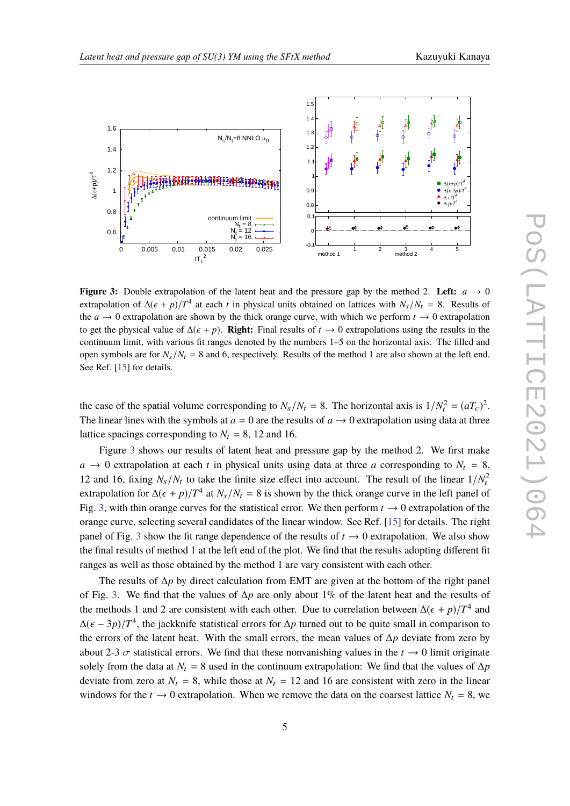<span id="page-4-0"></span>

**Figure 3:** Double extrapolation of the latent heat and the pressure gap by the method 2. Left:  $a \rightarrow 0$ extrapolation of  $\Delta(\epsilon + p)/T^4$  at each *t* in physical units obtained on lattices with  $N_s/N_t = 8$ . Results of the  $a \rightarrow 0$  extrapolation are shown by the thick orange curve, with which we perform  $t \rightarrow 0$  extrapolation to get the physical value of  $\Delta(\epsilon + p)$ . **Right:** Final results of  $t \to 0$  extrapolations using the results in the continuum limit, with various fit ranges denoted by the numbers 1–5 on the horizontal axis. The filled and open symbols are for  $N_s/N_t = 8$  and 6, respectively. Results of the method 1 are also shown at the left end. See Ref. [\[15\]](#page-8-3) for details.

the case of the spatial volume corresponding to  $N_s/N_t = 8$ . The horizontal axis is  $1/N_t^2 = (aT_c)^2$ . The linear lines with the symbols at  $a = 0$  are the results of  $a \rightarrow 0$  extrapolation using data at three lattice spacings corresponding to  $N_t = 8$ , 12 and 16.

Figure [3](#page-4-0) shows our results of latent heat and pressure gap by the method 2. We first make  $a \rightarrow 0$  extrapolation at each *t* in physical units using data at three *a* corresponding to  $N_t = 8$ , 12 and 16, fixing  $N_s/N_t$  to take the finite size effect into account. The result of the linear  $1/N_t^2$ extrapolation for  $\Delta(\epsilon + p)/T^4$  at  $N_s/N_t = 8$  is shown by the thick orange curve in the left panel of the Giang and the statistical array We then perform  $t \to 0$  outrapolation of the Fig. [3,](#page-4-0) with thin orange curves for the statistical error. We then perform  $t \to 0$  extrapolation of the orange curve, selecting several candidates of the linear window. See Ref. [\[15\]](#page-8-3) for details. The right panel of Fig. [3](#page-4-0) show the fit range dependence of the results of  $t \to 0$  extrapolation. We also show the final results of method 1 at the left end of the plot. We find that the results adopting different fit ranges as well as those obtained by the method 1 are vary consistent with each other.

The results of ∆*p* by direct calculation from EMT are given at the bottom of the right panel of Fig. [3.](#page-4-0) We find that the values of ∆*p* are only about 1% of the latent heat and the results of the methods 1 and 2 are consistent with each other. Due to correlation between  $\Delta(\epsilon + p)/T^4$  and  $\Delta(\epsilon - 2p)/T^4$  the isolation of a correlation between  $\Delta(\epsilon - 2p)/T^4$  $\Delta(\epsilon - 3p)/T^4$ , the jackknife statistical errors for  $\Delta p$  turned out to be quite small in comparison to the errors of the latent heat. With the emall errors the mean values of An deviate from gase hyper the errors of the latent heat. With the small errors, the mean values of ∆*p* deviate from zero by about 2-3  $\sigma$  statistical errors. We find that these nonvanishing values in the  $t \to 0$  limit originate solely from the data at  $N_t = 8$  used in the continuum extrapolation: We find that the values of  $\Delta p$ deviate from zero at  $N_t = 8$ , while those at  $N_t = 12$  and 16 are consistent with zero in the linear windows for the  $t \to 0$  extrapolation. When we remove the data on the coarsest lattice  $N_t = 8$ , we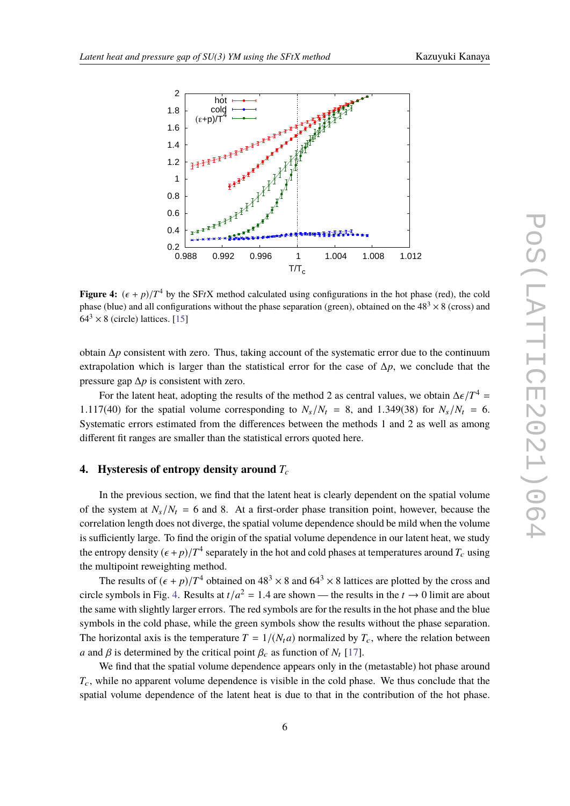<span id="page-5-0"></span>

**Figure 4:**  $(\epsilon + p)/T^4$  by the SFtX method calculated using configurations in the hot phase (red), the cold phase (hlue) and all configurations without the phase separation (green), obtained on the 48<sup>3</sup>  $\times$  8 (grees) and phase (blue) and all configurations without the phase separation (green), obtained on the  $48<sup>3</sup> \times 8$  (cross) and  $64<sup>3</sup> \times 8$  (circle) lattices. [\[15\]](#page-8-3)

obtain ∆*p* consistent with zero. Thus, taking account of the systematic error due to the continuum extrapolation which is larger than the statistical error for the case of ∆*p*, we conclude that the pressure gap ∆*p* is consistent with zero.

For the latent heat, adopting the results of the method 2 as central values, we obtain  $\Delta \epsilon/T^4 =$ <br>7(40) for the enotial values corresponding to  $N/M = 8$  and 1.240(28) for  $N/M = 6$ 1.117(40) for the spatial volume corresponding to  $N_s/N_t = 8$ , and 1.349(38) for  $N_s/N_t = 6$ . Systematic errors estimated from the differences between the methods 1 and 2 as well as among different fit ranges are smaller than the statistical errors quoted here.

#### **4. Hysteresis of entropy density around** *T<sup>c</sup>*

In the previous section, we find that the latent heat is clearly dependent on the spatial volume of the system at  $N_s/N_t = 6$  and 8. At a first-order phase transition point, however, because the correlation length does not diverge, the spatial volume dependence should be mild when the volume is sufficiently large. To find the origin of the spatial volume dependence in our latent heat, we study the entropy density  $(\epsilon + p)/T^4$  separately in the hot and cold phases at temperatures around  $T_c$  using<br>the multipaint reveals time mathed the multipoint reweighting method.

The results of  $(\epsilon + p)/T^4$  obtained on  $48^3 \times 8$  and  $64^3 \times 8$  lattices are plotted by the cross and circle symbols in Fig. [4.](#page-5-0) Results at  $t/a^2 = 1.4$  are shown — the results in the  $t \to 0$  limit are about the come with clients larger groups. The and symbols are for the results in the hot phase and the high the same with slightly larger errors. The red symbols are for the results in the hot phase and the blue symbols in the cold phase, while the green symbols show the results without the phase separation. The horizontal axis is the temperature  $T = 1/(N_t a)$  normalized by  $T_c$ , where the relation between *a* and  $\beta$  is determined by the critical point  $\beta_c$  as function of  $N_t$  [\[17\]](#page-8-5).

We find that the spatial volume dependence appears only in the (metastable) hot phase around *T*c, while no apparent volume dependence is visible in the cold phase. We thus conclude that the spatial volume dependence of the latent heat is due to that in the contribution of the hot phase.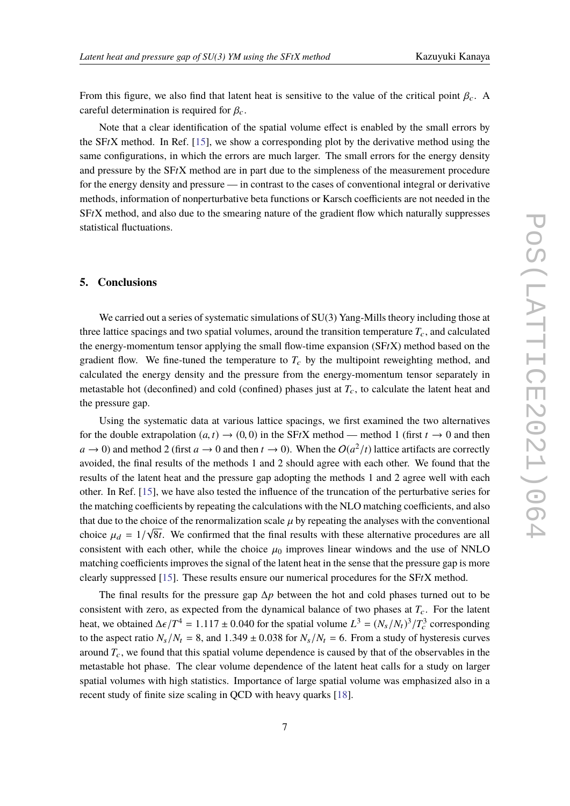From this figure, we also find that latent heat is sensitive to the value of the critical point  $\beta_c$ . A careful determination is required for  $\beta_c$ .

Note that a clear identification of the spatial volume effect is enabled by the small errors by the SF*t*X method. In Ref. [\[15\]](#page-8-3), we show a corresponding plot by the derivative method using the same configurations, in which the errors are much larger. The small errors for the energy density and pressure by the SF*t*X method are in part due to the simpleness of the measurement procedure for the energy density and pressure — in contrast to the cases of conventional integral or derivative methods, information of nonperturbative beta functions or Karsch coefficients are not needed in the SF*t*X method, and also due to the smearing nature of the gradient flow which naturally suppresses statistical fluctuations.

## **5. Conclusions**

We carried out a series of systematic simulations of  $SU(3)$  Yang-Mills theory including those at three lattice spacings and two spatial volumes, around the transition temperature  $T_c$ , and calculated the energy-momentum tensor applying the small flow-time expansion (SF*t*X) method based on the gradient flow. We fine-tuned the temperature to  $T_c$  by the multipoint reweighting method, and calculated the energy density and the pressure from the energy-momentum tensor separately in metastable hot (deconfined) and cold (confined) phases just at  $T_c$ , to calculate the latent heat and the pressure gap.

Using the systematic data at various lattice spacings, we first examined the two alternatives for the double extrapolation  $(a, t) \rightarrow (0, 0)$  in the SFtX method — method 1 (first  $t \rightarrow 0$  and then  $a \to 0$ ) and method 2 (first  $a \to 0$  and then  $t \to 0$ ). When the  $O(a^2/t)$  lattice artifacts are correctly avoided, the final results of the methods 1 and 2 should agree with each other. We found that the results of the latent heat and the pressure gap adopting the methods 1 and 2 agree well with each other. In Ref. [\[15\]](#page-8-3), we have also tested the influence of the truncation of the perturbative series for the matching coefficients by repeating the calculations with the NLO matching coefficients, and also that due to the choice of the renormalization scale  $\mu$  by repeating the analyses with the conventional choice  $\mu = 1/\sqrt{2}$ . We confirmed that the final results with these alternative presedures are all choice  $\mu_d = 1/\sqrt{8t}$ . We confirmed that the final results with these alternative procedures are all consistent with each other while the choice we improve linear windows and the use of NNI  $\Omega$ consistent with each other, while the choice  $\mu_0$  improves linear windows and the use of NNLO matching coefficients improves the signal of the latent heat in the sense that the pressure gap is more clearly suppressed [\[15\]](#page-8-3). These results ensure our numerical procedures for the SF*t*X method.

The final results for the pressure gap ∆*p* between the hot and cold phases turned out to be consistent with zero, as expected from the dynamical balance of two phases at  $T_c$ . For the latent heat, we obtained  $\Delta \epsilon / T^4 = 1.117 \pm 0.040$  for the spatial volume  $L^3 = (N_s/N_t)^3 / T_c^3$  corresponding<br>to the senset ratio  $N_s/N_s = 8$  and  $1.240 \pm 0.028$  for  $N_s/N_s = 6$ . From a study of hystersesis survey to the aspect ratio  $N_s/N_t = 8$ , and  $1.349 \pm 0.038$  for  $N_s/N_t = 6$ . From a study of hysteresis curves around  $T_c$ , we found that this spatial volume dependence is caused by that of the observables in the metastable hot phase. The clear volume dependence of the latent heat calls for a study on larger spatial volumes with high statistics. Importance of large spatial volume was emphasized also in a recent study of finite size scaling in QCD with heavy quarks [\[18\]](#page-8-6).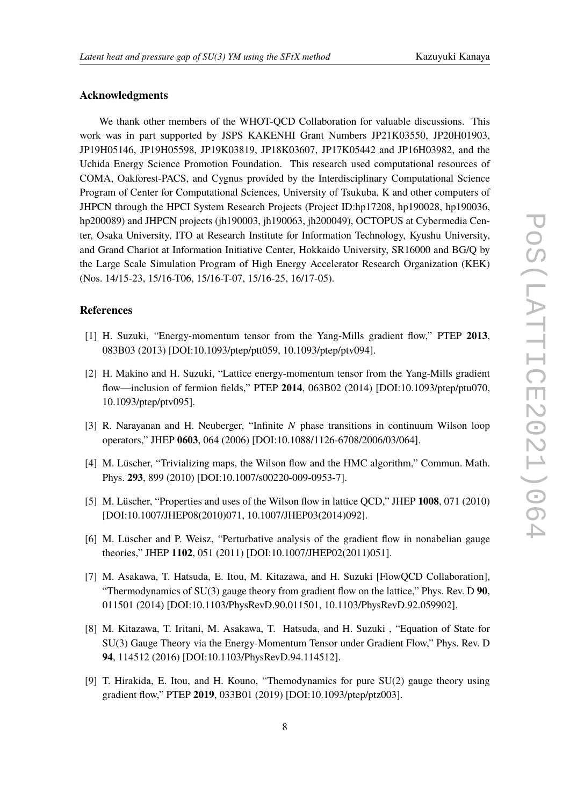## **Acknowledgments**

We thank other members of the WHOT-QCD Collaboration for valuable discussions. This work was in part supported by JSPS KAKENHI Grant Numbers JP21K03550, JP20H01903, JP19H05146, JP19H05598, JP19K03819, JP18K03607, JP17K05442 and JP16H03982, and the Uchida Energy Science Promotion Foundation. This research used computational resources of COMA, Oakforest-PACS, and Cygnus provided by the Interdisciplinary Computational Science Program of Center for Computational Sciences, University of Tsukuba, K and other computers of JHPCN through the HPCI System Research Projects (Project ID:hp17208, hp190028, hp190036, hp200089) and JHPCN projects (jh190003, jh190063, jh200049), OCTOPUS at Cybermedia Center, Osaka University, ITO at Research Institute for Information Technology, Kyushu University, and Grand Chariot at Information Initiative Center, Hokkaido University, SR16000 and BG/Q by the Large Scale Simulation Program of High Energy Accelerator Research Organization (KEK) (Nos. 14/15-23, 15/16-T06, 15/16-T-07, 15/16-25, 16/17-05).

## **References**

- <span id="page-7-0"></span>[1] H. Suzuki, "Energy-momentum tensor from the Yang-Mills gradient flow," PTEP **2013**, 083B03 (2013) [DOI:10.1093/ptep/ptt059, 10.1093/ptep/ptv094].
- <span id="page-7-1"></span>[2] H. Makino and H. Suzuki, "Lattice energy-momentum tensor from the Yang-Mills gradient flow—inclusion of fermion fields," PTEP **2014**, 063B02 (2014) [DOI:10.1093/ptep/ptu070, 10.1093/ptep/ptv095].
- <span id="page-7-2"></span>[3] R. Narayanan and H. Neuberger, "Infinite *N* phase transitions in continuum Wilson loop operators," JHEP **0603**, 064 (2006) [DOI:10.1088/1126-6708/2006/03/064].
- <span id="page-7-5"></span>[4] M. Lüscher, "Trivializing maps, the Wilson flow and the HMC algorithm," Commun. Math. Phys. **293**, 899 (2010) [DOI:10.1007/s00220-009-0953-7].
- [5] M. Lüscher, "Properties and uses of the Wilson flow in lattice QCD," JHEP **1008**, 071 (2010) [DOI:10.1007/JHEP08(2010)071, 10.1007/JHEP03(2014)092].
- <span id="page-7-3"></span>[6] M. Lüscher and P. Weisz, "Perturbative analysis of the gradient flow in nonabelian gauge theories," JHEP **1102**, 051 (2011) [DOI:10.1007/JHEP02(2011)051].
- <span id="page-7-4"></span>[7] M. Asakawa, T. Hatsuda, E. Itou, M. Kitazawa, and H. Suzuki [FlowQCD Collaboration], "Thermodynamics of SU(3) gauge theory from gradient flow on the lattice," Phys. Rev. D **90**, 011501 (2014) [DOI:10.1103/PhysRevD.90.011501, 10.1103/PhysRevD.92.059902].
- [8] M. Kitazawa, T. Iritani, M. Asakawa, T. Hatsuda, and H. Suzuki , "Equation of State for SU(3) Gauge Theory via the Energy-Momentum Tensor under Gradient Flow," Phys. Rev. D **94**, 114512 (2016) [DOI:10.1103/PhysRevD.94.114512].
- [9] T. Hirakida, E. Itou, and H. Kouno, "Themodynamics for pure SU(2) gauge theory using gradient flow," PTEP **2019**, 033B01 (2019) [DOI:10.1093/ptep/ptz003].